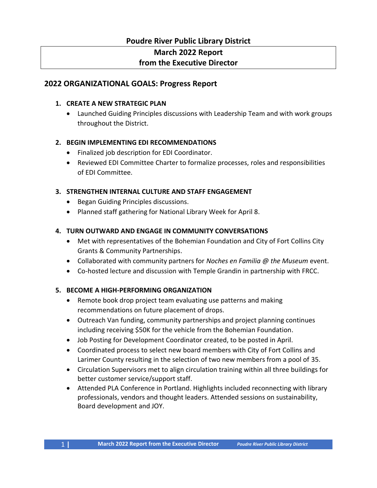# **Poudre River Public Library District March 2022 Report from the Executive Director**

## **2022 ORGANIZATIONAL GOALS: Progress Report**

#### **1. CREATE A NEW STRATEGIC PLAN**

• Launched Guiding Principles discussions with Leadership Team and with work groups throughout the District.

#### **2. BEGIN IMPLEMENTING EDI RECOMMENDATIONS**

- Finalized job description for EDI Coordinator.
- Reviewed EDI Committee Charter to formalize processes, roles and responsibilities of EDI Committee.

#### **3. STRENGTHEN INTERNAL CULTURE AND STAFF ENGAGEMENT**

- Began Guiding Principles discussions.
- Planned staff gathering for National Library Week for April 8.

#### **4. TURN OUTWARD AND ENGAGE IN COMMUNITY CONVERSATIONS**

- Met with representatives of the Bohemian Foundation and City of Fort Collins City Grants & Community Partnerships.
- Collaborated with community partners for *Noches en Familia @ the Museum* event.
- Co-hosted lecture and discussion with Temple Grandin in partnership with FRCC.

#### **5. BECOME A HIGH-PERFORMING ORGANIZATION**

- Remote book drop project team evaluating use patterns and making recommendations on future placement of drops.
- Outreach Van funding, community partnerships and project planning continues including receiving \$50K for the vehicle from the Bohemian Foundation.
- Job Posting for Development Coordinator created, to be posted in April.
- Coordinated process to select new board members with City of Fort Collins and Larimer County resulting in the selection of two new members from a pool of 35.
- Circulation Supervisors met to align circulation training within all three buildings for better customer service/support staff.
- Attended PLA Conference in Portland. Highlights included reconnecting with library professionals, vendors and thought leaders. Attended sessions on sustainability, Board development and JOY.